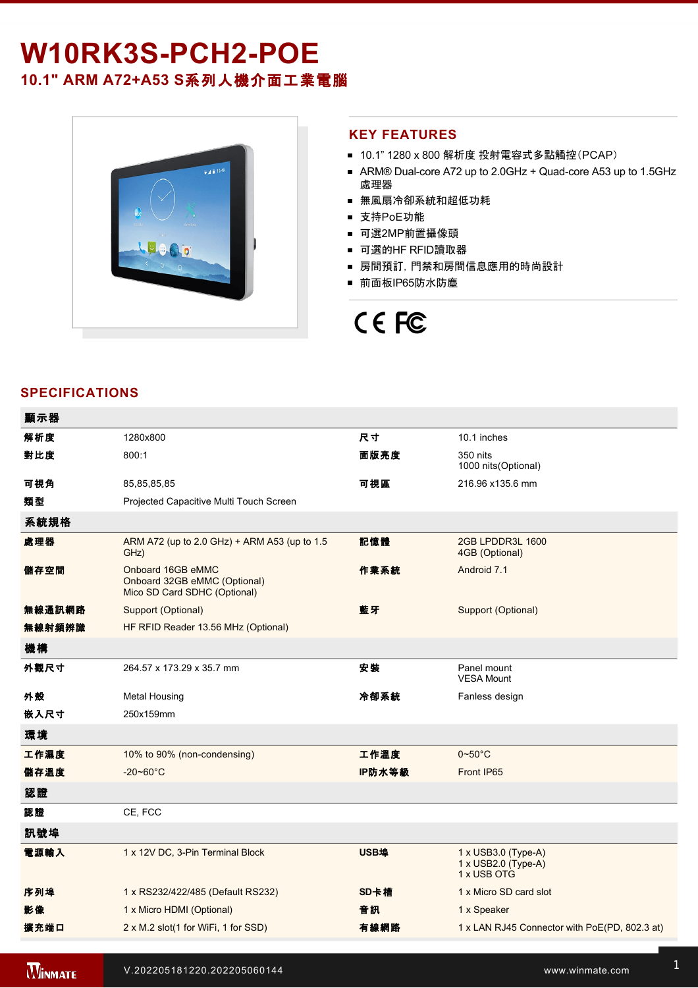# W10RK3S-PCH2-POE

### **10.1" ARM A72+A53 S**系列人機介面工業電腦



#### **KEY FEATURES**

- 10.1" 1280 x 800 解析度 投射電容式多點觸控(PCAP)
- ARM® Dual-core A72 up to 2.0GHz + Quad-core A53 up to 1.5GHz 處理器
- 無風扇冷卻系統和超低功耗
- 支持PoE功能
- 可選2MP前置攝像頭
- 可選的HF RFID讀取器
- 房間預訂, 門禁和房間信息應用的時尚設計
- 前面板IP65防水防塵

## CE FC

### **SPECIFICATIONS**

| 顯示器    |                                                                                   |        |                                                           |
|--------|-----------------------------------------------------------------------------------|--------|-----------------------------------------------------------|
| 解析度    | 1280x800                                                                          | 尺寸     | 10.1 inches                                               |
| 對比度    | 800:1                                                                             | 面版亮度   | 350 nits<br>1000 nits(Optional)                           |
| 可視角    | 85,85,85,85                                                                       | 可視區    | 216.96 x135.6 mm                                          |
| 類型     | Projected Capacitive Multi Touch Screen                                           |        |                                                           |
| 系統規格   |                                                                                   |        |                                                           |
| 處理器    | ARM A72 (up to 2.0 GHz) + ARM A53 (up to 1.5<br>GHz)                              | 記憶體    | 2GB LPDDR3L 1600<br>4GB (Optional)                        |
| 儲存空間   | Onboard 16GB eMMC<br>Onboard 32GB eMMC (Optional)<br>Mico SD Card SDHC (Optional) | 作業系統   | Android 7.1                                               |
| 無線通訊網路 | Support (Optional)                                                                | 藍牙     | Support (Optional)                                        |
| 無線射頻辨識 | HF RFID Reader 13.56 MHz (Optional)                                               |        |                                                           |
| 機構     |                                                                                   |        |                                                           |
| 外觀尺寸   | 264.57 x 173.29 x 35.7 mm                                                         | 安装     | Panel mount<br><b>VESA Mount</b>                          |
| 外殼     | Metal Housing                                                                     | 冷卻系統   | Fanless design                                            |
| 嵌入尺寸   | 250x159mm                                                                         |        |                                                           |
| 環境     |                                                                                   |        |                                                           |
| 工作濕度   | 10% to 90% (non-condensing)                                                       | 工作溫度   | $0 - 50$ °C                                               |
| 儲存溫度   | $-20 - 60^{\circ}$ C                                                              | IP防水等級 | Front IP65                                                |
| 認證     |                                                                                   |        |                                                           |
| 認證     | CE, FCC                                                                           |        |                                                           |
| 訊號埠    |                                                                                   |        |                                                           |
| 電源輸入   | 1 x 12V DC, 3-Pin Terminal Block                                                  | USB埠   | 1 x USB3.0 (Type-A)<br>1 x USB2.0 (Type-A)<br>1 x USB OTG |
| 序列埠    | 1 x RS232/422/485 (Default RS232)                                                 | SD卡槽   | 1 x Micro SD card slot                                    |
| 影像     | 1 x Micro HDMI (Optional)                                                         | 音訊     | 1 x Speaker                                               |
| 擴充端口   | 2 x M.2 slot(1 for WiFi, 1 for SSD)                                               | 有線網路   | 1 x LAN RJ45 Connector with PoE(PD, 802.3 at)             |
|        |                                                                                   |        |                                                           |

Terminal Block to 2.5Ø Female Adapter Cable